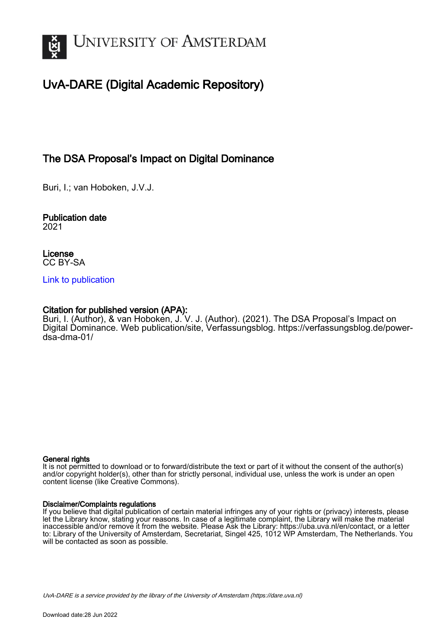

# UvA-DARE (Digital Academic Repository)

### The DSA Proposal's Impact on Digital Dominance

Buri, I.; van Hoboken, J.V.J.

Publication date 2021

License CC BY-SA

#### [Link to publication](https://dare.uva.nl/personal/pure/en/publications/the-dsa-proposals-impact-on-digital-dominance(cd493c12-319b-40cb-8da6-18625b3148a7).html)

#### Citation for published version (APA):

Buri, I. (Author), & van Hoboken, J. V. J. (Author). (2021). The DSA Proposal's Impact on Digital Dominance. Web publication/site, Verfassungsblog. [https://verfassungsblog.de/power](https://verfassungsblog.de/power-dsa-dma-01/)[dsa-dma-01/](https://verfassungsblog.de/power-dsa-dma-01/)

#### General rights

It is not permitted to download or to forward/distribute the text or part of it without the consent of the author(s) and/or copyright holder(s), other than for strictly personal, individual use, unless the work is under an open content license (like Creative Commons).

#### Disclaimer/Complaints regulations

If you believe that digital publication of certain material infringes any of your rights or (privacy) interests, please let the Library know, stating your reasons. In case of a legitimate complaint, the Library will make the material inaccessible and/or remove it from the website. Please Ask the Library: https://uba.uva.nl/en/contact, or a letter to: Library of the University of Amsterdam, Secretariat, Singel 425, 1012 WP Amsterdam, The Netherlands. You will be contacted as soon as possible.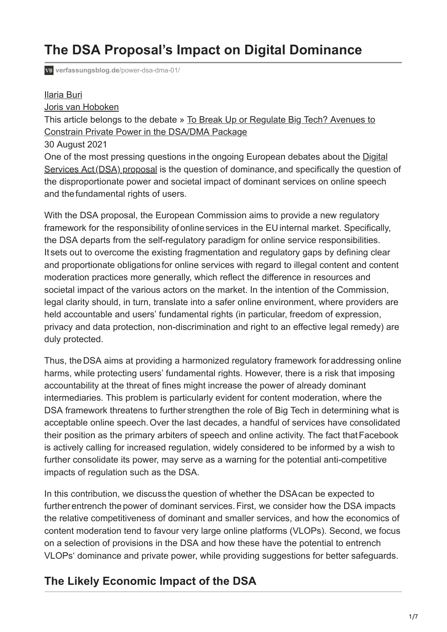# **The DSA Proposal's Impact on Digital Dominance**

**[verfassungsblog.de](https://verfassungsblog.de/power-dsa-dma-01/)**/power-dsa-dma-01/

### [Ilaria Buri](https://verfassungsblog.de/author/ilaria-buri/)

[Joris van Hoboken](https://verfassungsblog.de/author/joris-van-hoboken/)

[This article belongs to the debate » To Break Up or Regulate Big Tech? Avenues to](https://verfassungsblog.de/category/debates/power-dsa-dma/) Constrain Private Power in the DSA/DMA Package

30 August 2021

[One of the most pressing questions in the ongoing European debates about the Digital](https://ec.europa.eu/info/strategy/priorities-2019-2024/europe-fit-digital-age/digital-services-act-ensuring-safe-and-accountable-online-environment_en) Services Act (DSA) proposal is the question of dominance, and specifically the question of the disproportionate power and societal impact of dominant services on online speech and the fundamental rights of users.

With the DSA proposal, the European Commission aims to provide a new regulatory framework for the responsibility of online services in the EU internal market. Specifically, the DSA departs from the self-regulatory paradigm for online service responsibilities. It sets out to overcome the existing fragmentation and regulatory gaps by defining clear and proportionate obligations for online services with regard to illegal content and content moderation practices more generally, which reflect the difference in resources and societal impact of the various actors on the market. In the intention of the Commission, legal clarity should, in turn, translate into a safer online environment, where providers are held accountable and users' fundamental rights (in particular, freedom of expression, privacy and data protection, non-discrimination and right to an effective legal remedy) are duly protected.

Thus, the DSA aims at providing a harmonized regulatory framework for addressing online harms, while protecting users' fundamental rights. However, there is a risk that imposing accountability at the threat of fines might increase the power of already dominant intermediaries. This problem is particularly evident for content moderation, where the DSA framework threatens to further strengthen the role of Big Tech in determining what is acceptable online speech. Over the last decades, a handful of services have consolidated their position as the primary arbiters of speech and online activity. The fact that Facebook is actively calling for increased regulation, widely considered to be informed by a wish to further consolidate its power, may serve as a warning for the potential anti-competitive impacts of regulation such as the DSA.

In this contribution, we discuss the question of whether the DSAcan be expected to further entrench the power of dominant services. First, we consider how the DSA impacts the relative competitiveness of dominant and smaller services, and how the economics of content moderation tend to favour very large online platforms (VLOPs). Second, we focus on a selection of provisions in the DSA and how these have the potential to entrench VLOPs' dominance and private power, while providing suggestions for better safeguards.

### **The Likely Economic Impact of the DSA**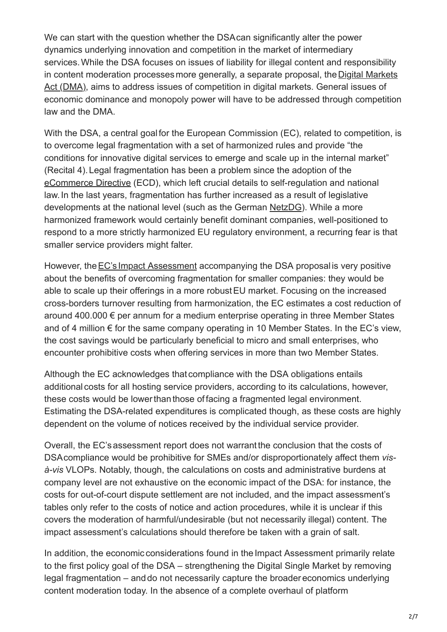We can start with the question whether the DSAcan significantly alter the power dynamics underlying innovation and competition in the market of intermediary services. While the DSA focuses on issues of liability for illegal content and responsibility [in content moderation processes more generally, a separate proposal, the Digital Markets](https://ec.europa.eu/info/strategy/priorities-2019-2024/europe-fit-digital-age/digital-markets-act-ensuring-fair-and-open-digital-markets_en) Act (DMA), aims to address issues of competition in digital markets. General issues of economic dominance and monopoly power will have to be addressed through competition law and the DMA.

With the DSA, a central goal for the European Commission (EC), related to competition, is to overcome legal fragmentation with a set of harmonized rules and provide "the conditions for innovative digital services to emerge and scale up in the internal market" (Recital 4). Legal fragmentation has been a problem since the adoption of the [eCommerce Directive](https://eur-lex.europa.eu/legal-content/EN/ALL/?uri=celex%3A32000L0031) (ECD), which left crucial details to self-regulation and national law. In the last years, fragmentation has further increased as a result of legislative developments at the national level (such as the German [NetzDG](https://www.bmjv.de/DE/Themen/FokusThemen/NetzDG/NetzDG_EN_node.html)). While a more harmonized framework would certainly benefit dominant companies, well-positioned to respond to a more strictly harmonized EU regulatory environment, a recurring fear is that smaller service providers might falter.

However, the **EC's Impact Assessment accompanying the DSA proposal is very positive** about the benefits of overcoming fragmentation for smaller companies: they would be able to scale up their offerings in a more robust EU market. Focusing on the increased cross-borders turnover resulting from harmonization, the EC estimates a cost reduction of around 400.000 € per annum for a medium enterprise operating in three Member States and of 4 million  $\epsilon$  for the same company operating in 10 Member States. In the EC's view, the cost savings would be particularly beneficial to micro and small enterprises, who encounter prohibitive costs when offering services in more than two Member States.

Although the EC acknowledges that compliance with the DSA obligations entails additional costs for all hosting service providers, according to its calculations, however, these costs would be lower than those of facing a fragmented legal environment. Estimating the DSA-related expenditures is complicated though, as these costs are highly dependent on the volume of notices received by the individual service provider.

Overall, the EC's assessment report does not warrant the conclusion that the costs of DSAcompliance would be prohibitive for SMEs and/or disproportionately affect them *visà-vis* VLOPs. Notably, though, the calculations on costs and administrative burdens at company level are not exhaustive on the economic impact of the DSA: for instance, the costs for out-of-court dispute settlement are not included, and the impact assessment's tables only refer to the costs of notice and action procedures, while it is unclear if this covers the moderation of harmful/undesirable (but not necessarily illegal) content. The impact assessment's calculations should therefore be taken with a grain of salt.

In addition, the economic considerations found in the Impact Assessment primarily relate to the first policy goal of the DSA – strengthening the Digital Single Market by removing legal fragmentation – and do not necessarily capture the broader economics underlying content moderation today. In the absence of a complete overhaul of platform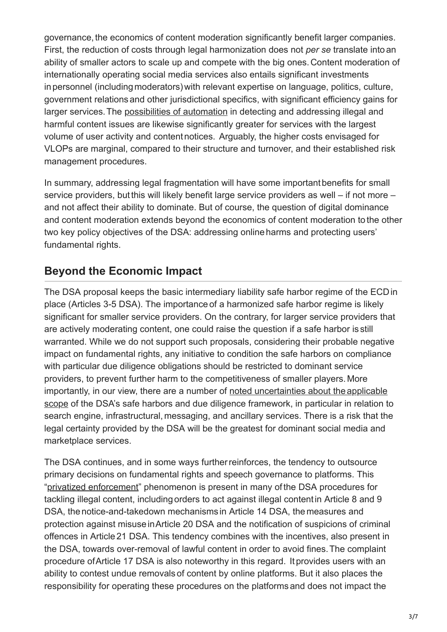governance, the economics of content moderation significantly benefit larger companies. First, the reduction of costs through legal harmonization does not *per se* translate into an ability of smaller actors to scale up and compete with the big ones. Content moderation of internationally operating social media services also entails significant investments in personnel (including moderators) with relevant expertise on language, politics, culture, government relations and other jurisdictional specifics, with significant efficiency gains for larger services. The [possibilities of automation](https://journals.sagepub.com/doi/10.1177/2053951720943234) in detecting and addressing illegal and harmful content issues are likewise significantly greater for services with the largest volume of user activity and content notices. Arguably, the higher costs envisaged for VLOPs are marginal, compared to their structure and turnover, and their established risk management procedures.

In summary, addressing legal fragmentation will have some important benefits for small service providers, but this will likely benefit large service providers as well – if not more – and not affect their ability to dominate. But of course, the question of digital dominance and content moderation extends beyond the economics of content moderation to the other two key policy objectives of the DSA: addressing online harms and protecting users' fundamental rights.

# **Beyond the Economic Impact**

The DSA proposal keeps the basic intermediary liability safe harbor regime of the ECD in place (Articles 3-5 DSA). The importance of a harmonized safe harbor regime is likely significant for smaller service providers. On the contrary, for larger service providers that are actively moderating content, one could raise the question if a safe harbor is still warranted. While we do not support such proposals, considering their probable negative impact on fundamental rights, any initiative to condition the safe harbors on compliance with particular due diligence obligations should be restricted to dominant service providers, to prevent further harm to the competitiveness of smaller players. More [importantly, in our view, there are a number of noted uncertainties about the applicable](https://www.europarl.europa.eu/cmsdata/234761/21-05-19%20Background%20note%20REV%20final.pdf) scope of the DSA's safe harbors and due diligence framework, in particular in relation to search engine, infrastructural, messaging, and ancillary services. There is a risk that the legal certainty provided by the DSA will be the greatest for dominant social media and marketplace services.

The DSA continues, and in some ways further reinforces, the tendency to outsource primary decisions on fundamental rights and speech governance to platforms. This "[privatized enforcement"](https://www.ivir.nl/publicaties/download/study_fundamental_rights_limitations.pdf) phenomenon is present in many of the DSA procedures for tackling illegal content, including orders to act against illegal content in Article 8 and 9 DSA, the notice-and-takedown mechanisms in Article 14 DSA, the measures and protection against misuse in Article 20 DSA and the notification of suspicions of criminal offences in Article 21 DSA. This tendency combines with the incentives, also present in the DSA, towards over-removal of lawful content in order to avoid fines. The complaint procedure of Article 17 DSA is also noteworthy in this regard. It provides users with an ability to contest undue removals of content by online platforms. But it also places the responsibility for operating these procedures on the platforms and does not impact the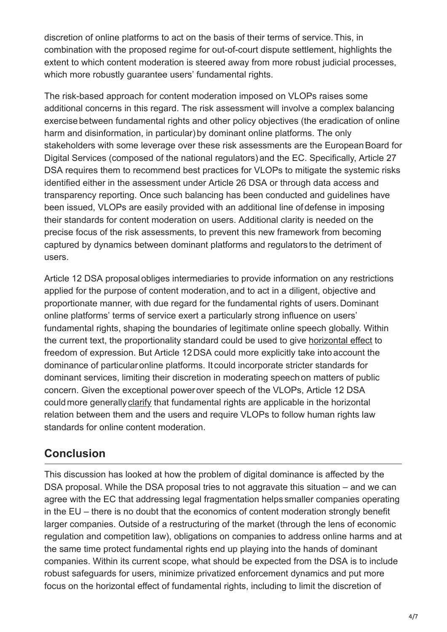discretion of online platforms to act on the basis of their terms of service. This, in combination with the proposed regime for out-of-court dispute settlement, highlights the extent to which content moderation is steered away from more robust judicial processes, which more robustly guarantee users' fundamental rights.

The risk-based approach for content moderation imposed on VLOPs raises some additional concerns in this regard. The risk assessment will involve a complex balancing exercise between fundamental rights and other policy objectives (the eradication of online harm and disinformation, in particular) by dominant online platforms. The only stakeholders with some leverage over these risk assessments are the European Board for Digital Services (composed of the national regulators) and the EC. Specifically, Article 27 DSA requires them to recommend best practices for VLOPs to mitigate the systemic risks identified either in the assessment under Article 26 DSA or through data access and transparency reporting. Once such balancing has been conducted and guidelines have been issued, VLOPs are easily provided with an additional line of defense in imposing their standards for content moderation on users. Additional clarity is needed on the precise focus of the risk assessments, to prevent this new framework from becoming captured by dynamics between dominant platforms and regulators to the detriment of users.

Article 12 DSA proposal obliges intermediaries to provide information on any restrictions applied for the purpose of content moderation, and to act in a diligent, objective and proportionate manner, with due regard for the fundamental rights of users. Dominant online platforms' terms of service exert a particularly strong influence on users' fundamental rights, shaping the boundaries of legitimate online speech globally. Within the current text, the proportionality standard could be used to give [horizontal effect](https://www.bundesgerichtshof.de/SharedDocs/Pressemitteilungen/DE/2021/2021149.html) to freedom of expression. But Article 12 DSA could more explicitly take into account the dominance of particular online platforms. It could incorporate stricter standards for dominant services, limiting their discretion in moderating speech on matters of public concern. Given the exceptional power over speech of the VLOPs, Article 12 DSA could more generally [clarify](https://dsa-observatory.eu/2021/05/31/article-12-dsa-will-platforms-be-required-to-apply-eu-fundamental-rights-in-content-moderation-decisions/) that fundamental rights are applicable in the horizontal relation between them and the users and require VLOPs to follow human rights law standards for online content moderation.

# **Conclusion**

This discussion has looked at how the problem of digital dominance is affected by the DSA proposal. While the DSA proposal tries to not aggravate this situation – and we can agree with the EC that addressing legal fragmentation helps smaller companies operating in the EU – there is no doubt that the economics of content moderation strongly benefit larger companies. Outside of a restructuring of the market (through the lens of economic regulation and competition law), obligations on companies to address online harms and at the same time protect fundamental rights end up playing into the hands of dominant companies. Within its current scope, what should be expected from the DSA is to include robust safeguards for users, minimize privatized enforcement dynamics and put more focus on the horizontal effect of fundamental rights, including to limit the discretion of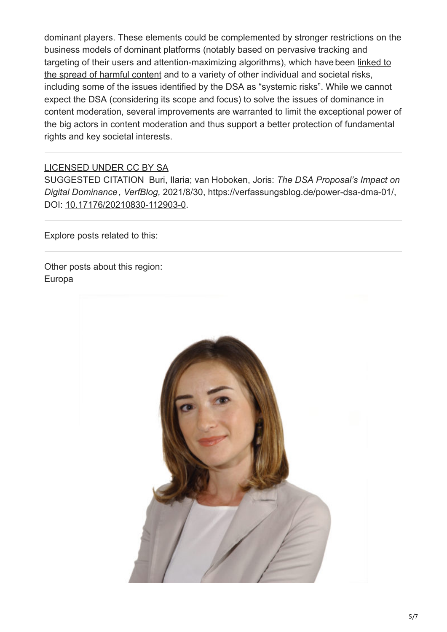dominant players. These elements could be complemented by stronger restrictions on the business models of dominant platforms (notably based on pervasive tracking and [targeting of their users and attention-maximizing algorithms\), which have been linked to](https://edri.org/our-work/can-the-eu-digital-services-act-contest-the-power-of-big-techs-algorithms/) the spread of harmful content and to a variety of other individual and societal risks, including some of the issues identified by the DSA as "systemic risks". While we cannot expect the DSA (considering its scope and focus) to solve the issues of dominance in content moderation, several improvements are warranted to limit the exceptional power of the big actors in content moderation and thus support a better protection of fundamental rights and key societal interests.

### [LICENSED UNDER CC BY SA](https://creativecommons.org/licenses/by-sa/4.0//legalcode)

SUGGESTED CITATION Buri, Ilaria; van Hoboken, Joris: *The DSA Proposal's Impact on Digital Dominance , VerfBlog,* 2021/8/30, https://verfassungsblog.de/power-dsa-dma-01/, DOI: [10.17176/20210830-112903-0.](https://dx.doi.org/10.17176/20210830-112903-0)

Explore posts related to this:

Other posts about this region: **[Europa](https://verfassungsblog.de/category/regionen/europe/)** 

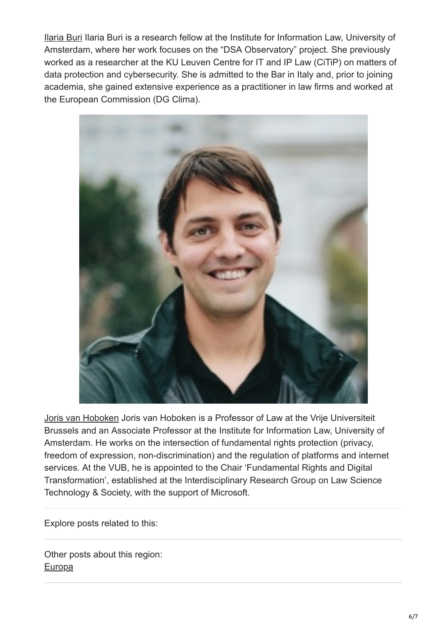[Ilaria Buri](https://verfassungsblog.de/author/ilaria-buri/) Ilaria Buri is a research fellow at the Institute for Information Law, University of Amsterdam, where her work focuses on the "DSA Observatory" project. She previously worked as a researcher at the KU Leuven Centre for IT and IP Law (CiTiP) on matters of data protection and cybersecurity. She is admitted to the Bar in Italy and, prior to joining academia, she gained extensive experience as a practitioner in law firms and worked at the European Commission (DG Clima).



[Joris van Hoboken](https://verfassungsblog.de/author/joris-van-hoboken/) Joris van Hoboken is a Professor of Law at the Vrije Universiteit Brussels and an Associate Professor at the Institute for Information Law, University of Amsterdam. He works on the intersection of fundamental rights protection (privacy, freedom of expression, non-discrimination) and the regulation of platforms and internet services. At the VUB, he is appointed to the Chair 'Fundamental Rights and Digital Transformation', established at the Interdisciplinary Research Group on Law Science Technology & Society, with the support of Microsoft.

Explore posts related to this:

Other posts about this region: **[Europa](https://verfassungsblog.de/category/regionen/europe/)**